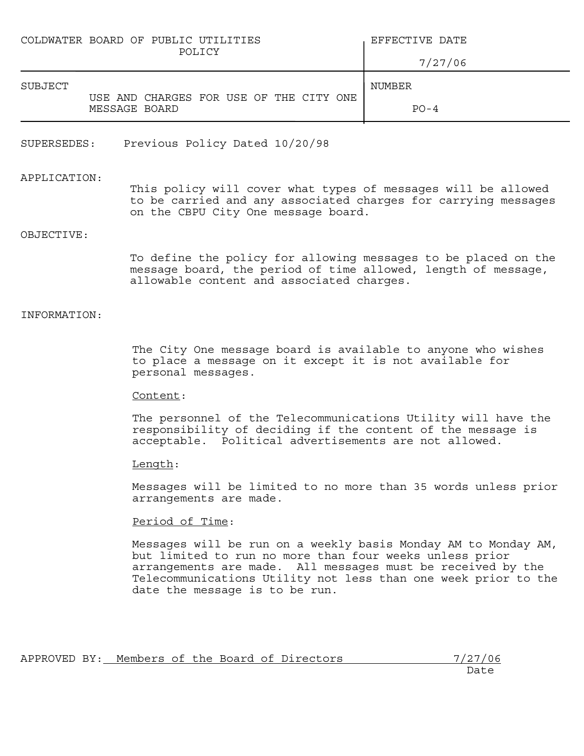| COLDWATER BOARD OF PUBLIC UTILITIES<br>POLICY            | EFFECTIVE DATE |
|----------------------------------------------------------|----------------|
|                                                          | 7/27/06        |
| SUBJECT                                                  | NUMBER         |
| USE AND CHARGES FOR USE OF THE CITY ONE<br>MESSAGE BOARD | $PO - 4$       |

SUPERSEDES: Previous Policy Dated 10/20/98

#### APPLICATION:

This policy will cover what types of messages will be allowed to be carried and any associated charges for carrying messages on the CBPU City One message board.

# OBJECTIVE:

To define the policy for allowing messages to be placed on the message board, the period of time allowed, length of message, allowable content and associated charges.

## INFORMATION:

The City One message board is available to anyone who wishes to place a message on it except it is not available for personal messages.

#### Content:

The personnel of the Telecommunications Utility will have the responsibility of deciding if the content of the message is acceptable. Political advertisements are not allowed.

## Length:

Messages will be limited to no more than 35 words unless prior arrangements are made.

#### Period of Time:

Messages will be run on a weekly basis Monday AM to Monday AM, but limited to run no more than four weeks unless prior arrangements are made. All messages must be received by the Telecommunications Utility not less than one week prior to the date the message is to be run.

| APPROVED BY: |  |  |  | Members of the Board of Directors | 7/27/06 |
|--------------|--|--|--|-----------------------------------|---------|
|              |  |  |  |                                   | Date    |